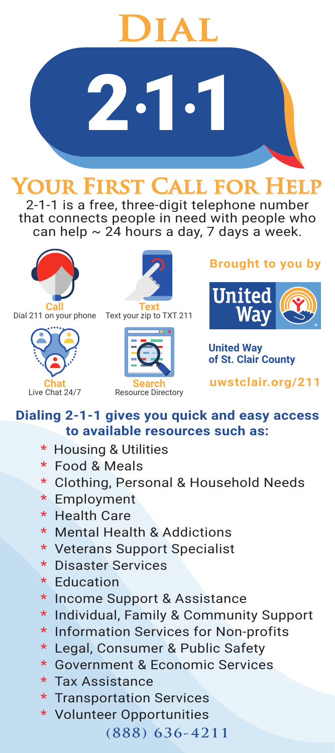

**Your First Call for Help** 2-1-1 is a free, three-digit telephone number that connects people in need with people who

can help  $\sim$  24 hours a day, 7 days a week.



**Call** Dial 211 on your phone







**Brought to you by**



**United Way of St. Clair County**

**uwstclair.org/211**

#### **Dialing 2-1-1 gives you quick and easy access to available resources such as:**

- **\*** Housing & Utilities
- **\*** Food & Meals
- **\*** Clothing, Personal & Household Needs
- **\*** Employment
- **\*** Health Care
- **\*** Mental Health & Addictions
- **\*** Veterans Support Specialist
- **\*** Disaster Services
- **\*** Education
- **\*** Income Support & Assistance
- **\*** Individual, Family & Community Support
- **\*** Information Services for Non-profits
- **\*** Legal, Consumer & Public Safety
- **\*** Government & Economic Services
- **\*** Tax Assistance
- **\*** Transportation Services
- **\*** Volunteer Opportunities

**(888) 636-4211**